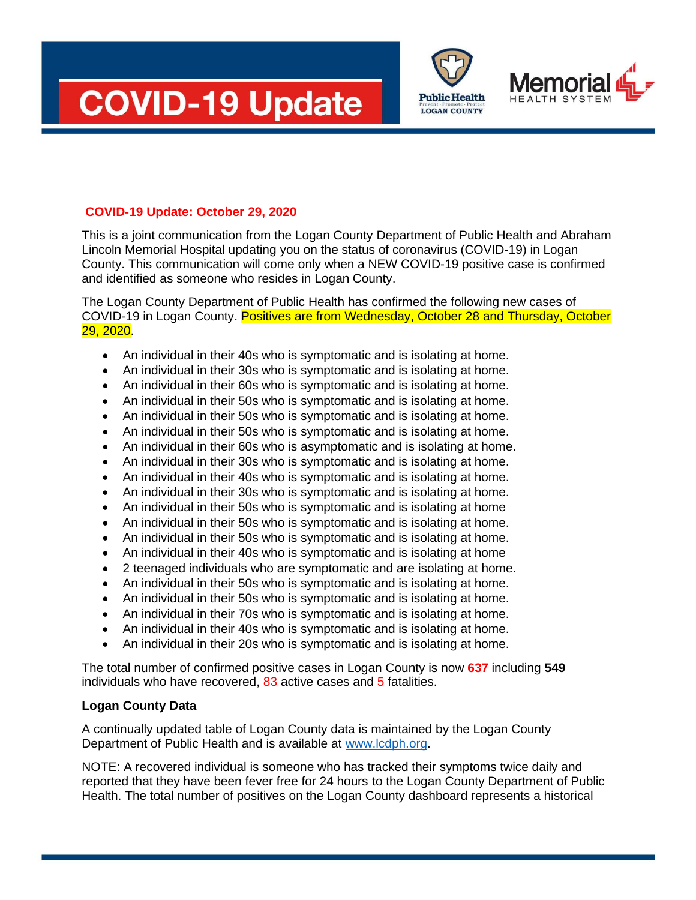





## **COVID-19 Update: October 29, 2020**

This is a joint communication from the Logan County Department of Public Health and Abraham Lincoln Memorial Hospital updating you on the status of coronavirus (COVID-19) in Logan County. This communication will come only when a NEW COVID-19 positive case is confirmed and identified as someone who resides in Logan County.

The Logan County Department of Public Health has confirmed the following new cases of COVID-19 in Logan County. Positives are from Wednesday, October 28 and Thursday, October 29, 2020.

- An individual in their 40s who is symptomatic and is isolating at home.
- An individual in their 30s who is symptomatic and is isolating at home.
- An individual in their 60s who is symptomatic and is isolating at home.
- An individual in their 50s who is symptomatic and is isolating at home.
- An individual in their 50s who is symptomatic and is isolating at home.
- An individual in their 50s who is symptomatic and is isolating at home.
- An individual in their 60s who is asymptomatic and is isolating at home.
- An individual in their 30s who is symptomatic and is isolating at home.
- An individual in their 40s who is symptomatic and is isolating at home.
- An individual in their 30s who is symptomatic and is isolating at home.
- An individual in their 50s who is symptomatic and is isolating at home
- An individual in their 50s who is symptomatic and is isolating at home.
- An individual in their 50s who is symptomatic and is isolating at home.
- An individual in their 40s who is symptomatic and is isolating at home
- 2 teenaged individuals who are symptomatic and are isolating at home.
- An individual in their 50s who is symptomatic and is isolating at home.
- An individual in their 50s who is symptomatic and is isolating at home.
- An individual in their 70s who is symptomatic and is isolating at home.
- An individual in their 40s who is symptomatic and is isolating at home.
- An individual in their 20s who is symptomatic and is isolating at home.

The total number of confirmed positive cases in Logan County is now **637** including **549** individuals who have recovered, 83 active cases and 5 fatalities.

## **Logan County Data**

A continually updated table of Logan County data is maintained by the Logan County Department of Public Health and is available at [www.lcdph.org.](http://www.lcdph.org/)

NOTE: A recovered individual is someone who has tracked their symptoms twice daily and reported that they have been fever free for 24 hours to the Logan County Department of Public Health. The total number of positives on the Logan County dashboard represents a historical